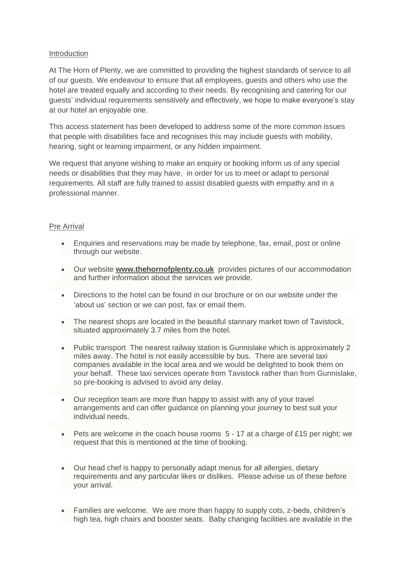## **Introduction**

At The Horn of Plenty, we are committed to providing the highest standards of service to all of our guests. We endeavour to ensure that all employees, guests and others who use the hotel are treated equally and according to their needs. By recognising and catering for our guests' individual requirements sensitively and effectively, we hope to make everyone's stay at our hotel an enjoyable one.

This access statement has been developed to address some of the more common issues that people with disabilities face and recognises this may include guests with mobility, hearing, sight or learning impairment, or any hidden impairment.

We request that anyone wishing to make an enquiry or booking inform us of any special needs or disabilities that they may have, in order for us to meet or adapt to personal requirements. All staff are fully trained to assist disabled guests with empathy and in a professional manner.

#### Pre Arrival

- Enquiries and reservations may be made by telephone, fax, email, post or online through our website.
- Our website **[www.thehornofplenty.co.uk](http://www.thehornofplenty.co.uk/)** provides pictures of our accommodation and further information about the services we provide.
- Directions to the hotel can be found in our brochure or on our website under the 'about us' section or we can post, fax or email them.
- The nearest shops are located in the beautiful stannary market town of Tavistock, situated approximately 3.7 miles from the hotel.
- Public transport The nearest railway station is Gunnislake which is approximately 2 miles away. The hotel is not easily accessible by bus. There are several taxi companies available in the local area and we would be delighted to book them on your behalf. These taxi services operate from Tavistock rather than from Gunnislake, so pre-booking is advised to avoid any delay.
- Our reception team are more than happy to assist with any of your travel arrangements and can offer guidance on planning your journey to best suit your individual needs.
- Pets are welcome in the coach house rooms  $5 17$  at a charge of £15 per night; we request that this is mentioned at the time of booking.
- Our head chef is happy to personally adapt menus for all allergies, dietary requirements and any particular likes or dislikes. Please advise us of these before your arrival.
- Families are welcome. We are more than happy to supply cots, z-beds, children's high tea, high chairs and booster seats. Baby changing facilities are available in the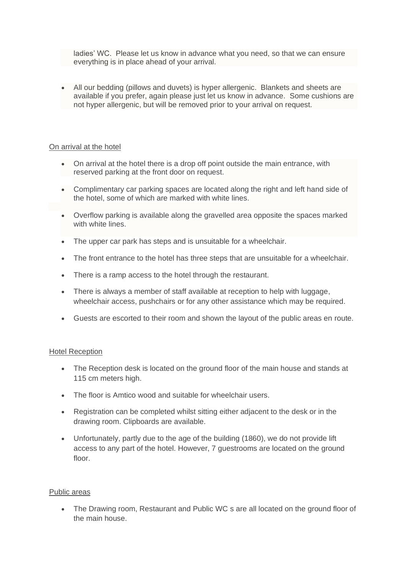ladies' WC. Please let us know in advance what you need, so that we can ensure everything is in place ahead of your arrival.

• All our bedding (pillows and duvets) is hyper allergenic. Blankets and sheets are available if you prefer, again please just let us know in advance. Some cushions are not hyper allergenic, but will be removed prior to your arrival on request.

# On arrival at the hotel

- On arrival at the hotel there is a drop off point outside the main entrance, with reserved parking at the front door on request.
- Complimentary car parking spaces are located along the right and left hand side of the hotel, some of which are marked with white lines.
- Overflow parking is available along the gravelled area opposite the spaces marked with white lines.
- The upper car park has steps and is unsuitable for a wheelchair.
- The front entrance to the hotel has three steps that are unsuitable for a wheelchair.
- There is a ramp access to the hotel through the restaurant.
- There is always a member of staff available at reception to help with luggage, wheelchair access, pushchairs or for any other assistance which may be required.
- Guests are escorted to their room and shown the layout of the public areas en route.

# Hotel Reception

- The Reception desk is located on the ground floor of the main house and stands at 115 cm meters high.
- The floor is Amtico wood and suitable for wheelchair users.
- Registration can be completed whilst sitting either adjacent to the desk or in the drawing room. Clipboards are available.
- Unfortunately, partly due to the age of the building (1860), we do not provide lift access to any part of the hotel. However, 7 guestrooms are located on the ground floor.

# Public areas

• The Drawing room, Restaurant and Public WC s are all located on the ground floor of the main house.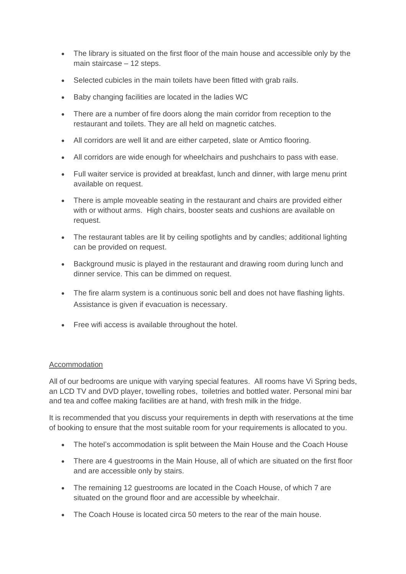- The library is situated on the first floor of the main house and accessible only by the main staircase – 12 steps.
- Selected cubicles in the main toilets have been fitted with grab rails.
- Baby changing facilities are located in the ladies WC
- There are a number of fire doors along the main corridor from reception to the restaurant and toilets. They are all held on magnetic catches.
- All corridors are well lit and are either carpeted, slate or Amtico flooring.
- All corridors are wide enough for wheelchairs and pushchairs to pass with ease.
- Full waiter service is provided at breakfast, lunch and dinner, with large menu print available on request.
- There is ample moveable seating in the restaurant and chairs are provided either with or without arms. High chairs, booster seats and cushions are available on request.
- The restaurant tables are lit by ceiling spotlights and by candles; additional lighting can be provided on request.
- Background music is played in the restaurant and drawing room during lunch and dinner service. This can be dimmed on request.
- The fire alarm system is a continuous sonic bell and does not have flashing lights. Assistance is given if evacuation is necessary.
- Free wifi access is available throughout the hotel.

# Accommodation

All of our bedrooms are unique with varying special features. All rooms have Vi Spring beds, an LCD TV and DVD player, towelling robes, toiletries and bottled water. Personal mini bar and tea and coffee making facilities are at hand, with fresh milk in the fridge.

It is recommended that you discuss your requirements in depth with reservations at the time of booking to ensure that the most suitable room for your requirements is allocated to you.

- The hotel's accommodation is split between the Main House and the Coach House
- There are 4 guestrooms in the Main House, all of which are situated on the first floor and are accessible only by stairs.
- The remaining 12 guestrooms are located in the Coach House, of which 7 are situated on the ground floor and are accessible by wheelchair.
- The Coach House is located circa 50 meters to the rear of the main house.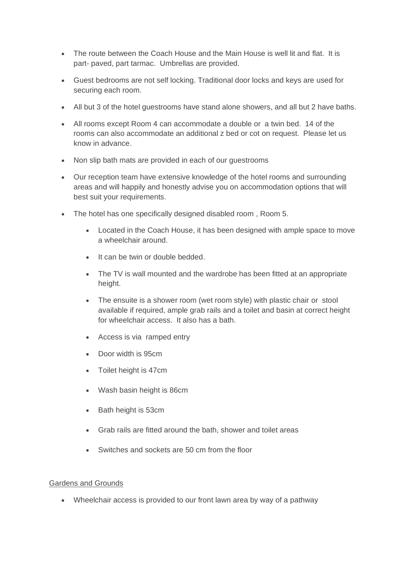- The route between the Coach House and the Main House is well lit and flat. It is part- paved, part tarmac. Umbrellas are provided.
- Guest bedrooms are not self locking. Traditional door locks and keys are used for securing each room.
- All but 3 of the hotel guestrooms have stand alone showers, and all but 2 have baths.
- All rooms except Room 4 can accommodate a double or a twin bed. 14 of the rooms can also accommodate an additional z bed or cot on request. Please let us know in advance.
- Non slip bath mats are provided in each of our guestrooms
- Our reception team have extensive knowledge of the hotel rooms and surrounding areas and will happily and honestly advise you on accommodation options that will best suit your requirements.
- The hotel has one specifically designed disabled room , Room 5.
	- Located in the Coach House, it has been designed with ample space to move a wheelchair around.
	- It can be twin or double bedded.
	- The TV is wall mounted and the wardrobe has been fitted at an appropriate height.
	- The ensuite is a shower room (wet room style) with plastic chair or stool available if required, ample grab rails and a toilet and basin at correct height for wheelchair access. It also has a bath.
	- Access is via ramped entry
	- Door width is 95cm
	- Toilet height is 47cm
	- Wash basin height is 86cm
	- Bath height is 53cm
	- Grab rails are fitted around the bath, shower and toilet areas
	- Switches and sockets are 50 cm from the floor

# Gardens and Grounds

• Wheelchair access is provided to our front lawn area by way of a pathway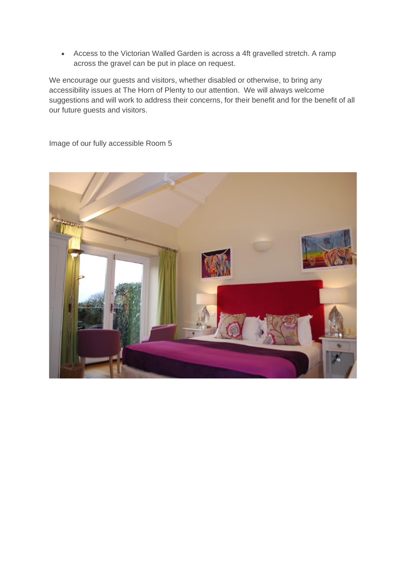• Access to the Victorian Walled Garden is across a 4ft gravelled stretch. A ramp across the gravel can be put in place on request.

We encourage our guests and visitors, whether disabled or otherwise, to bring any accessibility issues at The Horn of Plenty to our attention. We will always welcome suggestions and will work to address their concerns, for their benefit and for the benefit of all our future guests and visitors.



Image of our fully accessible Room 5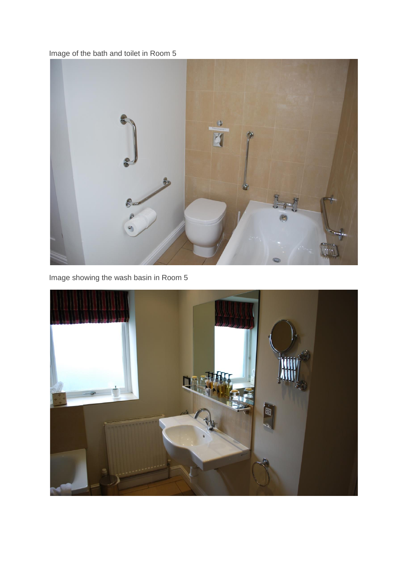Image of the bath and toilet in Room 5



Image showing the wash basin in Room 5